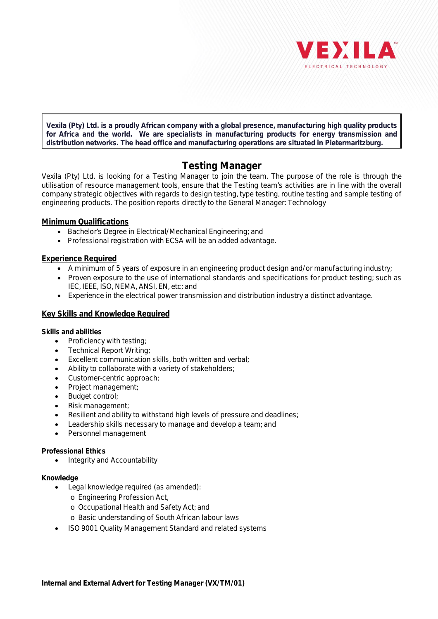

**Vexila (Pty) Ltd. is a proudly African company with a global presence, manufacturing high quality products for Africa and the world. We are specialists in manufacturing products for energy transmission and distribution networks. The head office and manufacturing operations are situated in Pietermaritzburg.**

# **Testing Manager**

Vexila (Pty) Ltd. is looking for a Testing Manager to join the team. The purpose of the role is through the utilisation of resource management tools, ensure that the Testing team's activities are in line with the overall company strategic objectives with regards to design testing, type testing, routine testing and sample testing of engineering products. The position reports directly to the General Manager: Technology

## **Minimum Qualifications**

- · Bachelor's Degree in Electrical/Mechanical Engineering; and
- · Professional registration with ECSA will be an added advantage.

## **Experience Required**

- · A minimum of 5 years of exposure in an engineering product design and/or manufacturing industry;
- · Proven exposure to the use of international standards and specifications for product testing; such as IEC, IEEE, ISO, NEMA, ANSI, EN, etc; and
- · Experience in the electrical power transmission and distribution industry a distinct advantage.

## **Key Skills and Knowledge Required**

**Skills and abilities**

- · Proficiency with testing;
- · Technical Report Writing;
- · Excellent communication skills, both written and verbal;
- Ability to collaborate with a variety of stakeholders;
- · Customer-centric approach;
- · Project management;
- · Budget control;
- Risk management;
- Resilient and ability to withstand high levels of pressure and deadlines;
- Leadership skills necessary to manage and develop a team; and
- Personnel management

### **Professional Ethics**

· Integrity and Accountability

### **Knowledge**

- · Legal knowledge required (as amended):
	- o Engineering Profession Act,
	- o Occupational Health and Safety Act; and
	- o Basic understanding of South African labour laws
- · ISO 9001 Quality Management Standard and related systems